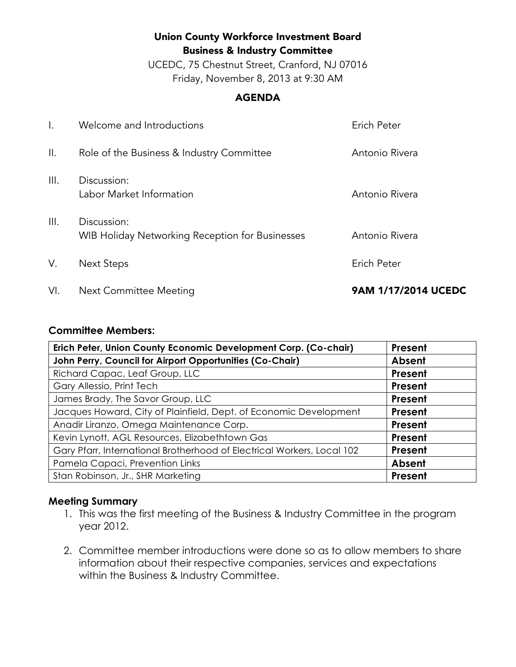# Union County Workforce Investment Board Business & Industry Committee

UCEDC, 75 Chestnut Street, Cranford, NJ 07016 Friday, November 8, 2013 at 9:30 AM

#### AGENDA

| VI.  | Next Committee Meeting                                         | 9AM 1/17/2014 UCEDC |
|------|----------------------------------------------------------------|---------------------|
| V.   | <b>Next Steps</b>                                              | Erich Peter         |
| Ш.   | Discussion:<br>WIB Holiday Networking Reception for Businesses | Antonio Rivera      |
| III. | Discussion:<br>Labor Market Information                        | Antonio Rivera      |
| Ⅱ.   | Role of the Business & Industry Committee                      | Antonio Rivera      |
|      | Welcome and Introductions                                      | Erich Peter         |

#### **Committee Members:**

| Erich Peter, Union County Economic Development Corp. (Co-chair)        | Present        |
|------------------------------------------------------------------------|----------------|
| John Perry, Council for Airport Opportunities (Co-Chair)               | Absent         |
| Richard Capac, Leaf Group, LLC                                         | Present        |
| Gary Allessio, Print Tech                                              | Present        |
| James Brady, The Savor Group, LLC                                      | Present        |
| Jacques Howard, City of Plainfield, Dept. of Economic Development      | Present        |
| Anadir Liranzo, Omega Maintenance Corp.                                | Present        |
| Kevin Lynott, AGL Resources, Elizabethtown Gas                         | Present        |
| Gary Pfarr, International Brotherhood of Electrical Workers, Local 102 | Present        |
| Pamela Capaci, Prevention Links                                        | Absent         |
| Stan Robinson, Jr., SHR Marketing                                      | <b>Present</b> |

## **Meeting Summary**

- 1. This was the first meeting of the Business & Industry Committee in the program year 2012.
- 2. Committee member introductions were done so as to allow members to share information about their respective companies, services and expectations within the Business & Industry Committee.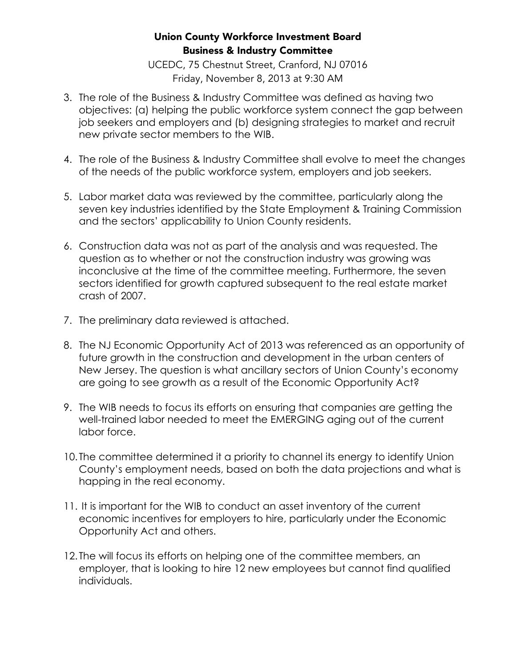## Union County Workforce Investment Board Business & Industry Committee

UCEDC, 75 Chestnut Street, Cranford, NJ 07016 Friday, November 8, 2013 at 9:30 AM

- 3. The role of the Business & Industry Committee was defined as having two objectives: (a) helping the public workforce system connect the gap between job seekers and employers and (b) designing strategies to market and recruit new private sector members to the WIB.
- 4. The role of the Business & Industry Committee shall evolve to meet the changes of the needs of the public workforce system, employers and job seekers.
- 5. Labor market data was reviewed by the committee, particularly along the seven key industries identified by the State Employment & Training Commission and the sectors' applicability to Union County residents.
- 6. Construction data was not as part of the analysis and was requested. The question as to whether or not the construction industry was growing was inconclusive at the time of the committee meeting. Furthermore, the seven sectors identified for growth captured subsequent to the real estate market crash of 2007.
- 7. The preliminary data reviewed is attached.
- 8. The NJ Economic Opportunity Act of 2013 was referenced as an opportunity of future growth in the construction and development in the urban centers of New Jersey. The question is what ancillary sectors of Union County's economy are going to see growth as a result of the Economic Opportunity Act?
- 9. The WIB needs to focus its efforts on ensuring that companies are getting the well-trained labor needed to meet the EMERGING aging out of the current labor force.
- 10. The committee determined it a priority to channel its energy to identify Union County's employment needs, based on both the data projections and what is happing in the real economy.
- 11. It is important for the WIB to conduct an asset inventory of the current economic incentives for employers to hire, particularly under the Economic Opportunity Act and others.
- 12. The will focus its efforts on helping one of the committee members, an employer, that is looking to hire 12 new employees but cannot find qualified individuals.